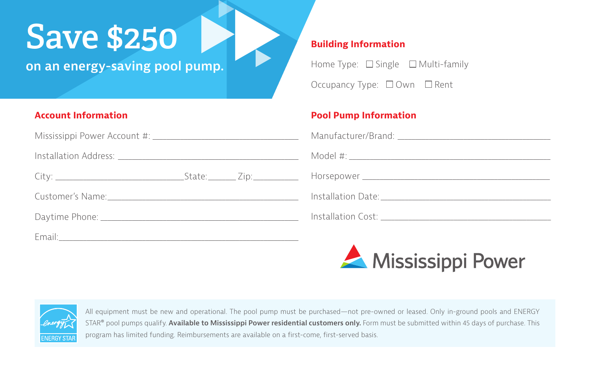## **Save \$250**

**on an energy-saving pool pump.**

#### **Account Information**

Mississippi Power Account #: \_\_\_\_\_\_\_\_\_\_\_\_\_\_\_\_\_\_\_\_\_\_\_\_\_\_\_\_\_\_\_\_\_\_\_\_\_\_\_\_\_\_

Installation Address: **with a set of the set of the set of the set of the set of the set of the set of the set o** 

| City:<br><i><u>scace</u></i> |
|------------------------------|
|------------------------------|

Customer's Name:

Daytime Phone: \_\_\_\_\_\_\_\_\_\_\_\_\_\_\_\_\_\_\_\_\_\_\_\_\_\_\_\_\_\_\_\_\_\_\_\_\_\_\_\_\_\_\_\_\_\_\_\_\_\_\_\_\_\_\_\_\_

Email:\_\_\_\_\_\_\_\_\_\_\_\_\_\_\_\_\_\_\_\_\_\_\_\_\_\_\_\_\_\_\_\_\_\_\_\_\_\_\_\_\_\_\_\_\_\_\_\_\_\_\_\_\_\_\_\_\_\_\_\_\_\_\_\_\_\_\_\_\_

#### **Building Information**

Home Type:  $\Box$  Single  $\Box$  Multi-family Occupancy Type: □ Own □ Rent

### **Pool Pump Information**





All equipment must be new and operational. The pool pump must be purchased—not pre-owned or leased. Only in-ground pools and ENERGY STAR® pool pumps qualify. **Available to Mississippi Power residential customers only.** Form must be submitted within 45 days of purchase. This program has limited funding. Reimbursements are available on a first-come, first-served basis.